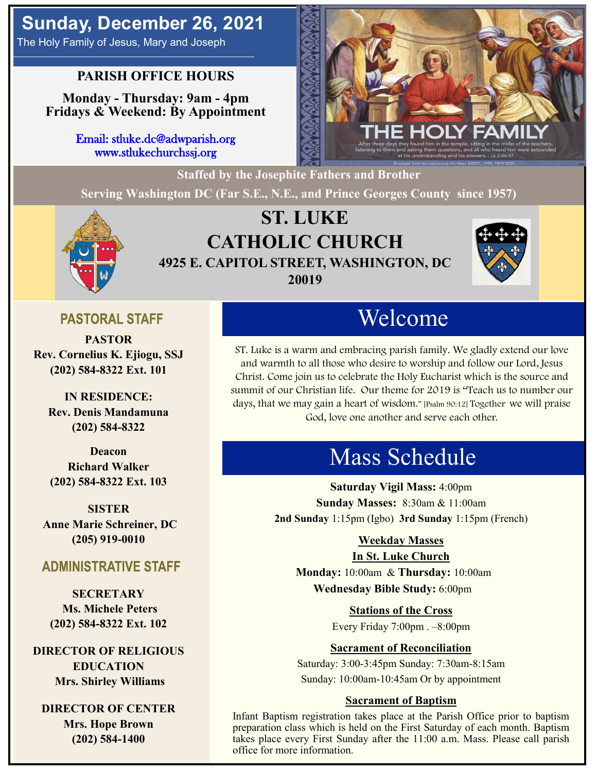The Holy Family of Jesus, Mary and Joseph

### **PARISH OFFICE HOURS**

**Monday - Thursday: 9am - 4pm Fridays & Weekend: By Appointment**

> Email: stluke.dc@adwparish.org www.stlukechurchssj.org



**Staffed by the Josephite Fathers and Brother**

**Serving Washington DC (Far S.E., N.E., and Prince Georges County since 1957)**



# **ST. LUKE CATHOLIC CHURCH 4925 E. CAPITOL STREET, WASHINGTON, DC 20019**



### **PASTORAL STAFF**

**PASTOR Rev. Cornelius K. Ejiogu, SSJ (202) 584-8322 Ext. 101**

**IN RESIDENCE: Rev. Denis Mandamuna (202) 584-8322** 

**Deacon Richard Walker (202) 584-8322 Ext. 103**

**SISTER Anne Marie Schreiner, DC (205) 919-0010**

### **ADMINISTRATIVE STAFF**

**SECRETARY Ms. Michele Peters (202) 584-8322 Ext. 102**

**DIRECTOR OF RELIGIOUS EDUCATION Mrs. Shirley Williams**

**DIRECTOR OF CENTER Mrs. Hope Brown (202) 584-1400**

# Welcome

ST. Luke is a warm and embracing parish family. We gladly extend our love and warmth to all those who desire to worship and follow our Lord, Jesus Christ. Come join us to celebrate the Holy Eucharist which is the source and summit of our Christian life. Our theme for 2019 is "Teach us to number our days, that we may gain a heart of wisdom." [Psalm 90:12] Together we will praise God, love one another and serve each other.

# Mass Schedule

**Saturday Vigil Mass:** 4:00pm **Sunday Masses:** 8:30am & 11:00am **2nd Sunday** 1:15pm (Igbo) **3rd Sunday** 1:15pm (French)

#### **Weekday Masses**

#### **In St. Luke Church**

**Monday:** 10:00am & **Thursday:** 10:00am **Wednesday Bible Study:** 6:00pm

**Stations of the Cross**

Every Friday 7:00pm . –8:00pm

#### **Sacrament of Reconciliation**

Saturday: 3:00-3:45pm Sunday: 7:30am-8:15am Sunday: 10:00am-10:45am Or by appointment

#### **Sacrament of Baptism**

Infant Baptism registration takes place at the Parish Office prior to baptism preparation class which is held on the First Saturday of each month. Baptism takes place every First Sunday after the 11:00 a.m. Mass. Please call parish office for more information.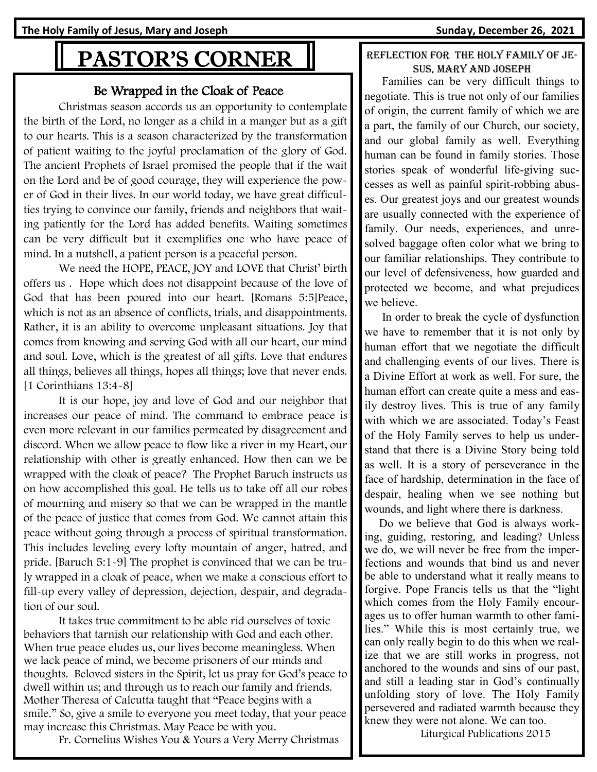# PASTOR'S CORNER

#### Be Wrapped in the Cloak of Peace

Christmas season accords us an opportunity to contemplate the birth of the Lord, no longer as a child in a manger but as a gift to our hearts. This is a season characterized by the transformation of patient waiting to the joyful proclamation of the glory of God. The ancient Prophets of Israel promised the people that if the wait on the Lord and be of good courage, they will experience the power of God in their lives. In our world today, we have great difficulties trying to convince our family, friends and neighbors that waiting patiently for the Lord has added benefits. Waiting sometimes can be very difficult but it exemplifies one who have peace of mind. In a nutshell, a patient person is a peaceful person.

We need the HOPE, PEACE, JOY and LOVE that Christ' birth offers us . Hope which does not disappoint because of the love of God that has been poured into our heart. [Romans 5:5]Peace, which is not as an absence of conflicts, trials, and disappointments. Rather, it is an ability to overcome unpleasant situations. Joy that comes from knowing and serving God with all our heart, our mind and soul. Love, which is the greatest of all gifts. Love that endures all things, believes all things, hopes all things; love that never ends. [1 Corinthians 13:4-8]

It is our hope, joy and love of God and our neighbor that increases our peace of mind. The command to embrace peace is even more relevant in our families permeated by disagreement and discord. When we allow peace to flow like a river in my Heart, our relationship with other is greatly enhanced. How then can we be wrapped with the cloak of peace? The Prophet Baruch instructs us on how accomplished this goal. He tells us to take off all our robes of mourning and misery so that we can be wrapped in the mantle of the peace of justice that comes from God. We cannot attain this peace without going through a process of spiritual transformation. This includes leveling every lofty mountain of anger, hatred, and pride. [Baruch 5:1-9] The prophet is convinced that we can be truly wrapped in a cloak of peace, when we make a conscious effort to fill-up every valley of depression, dejection, despair, and degradation of our soul.

It takes true commitment to be able rid ourselves of toxic behaviors that tarnish our relationship with God and each other. When true peace eludes us, our lives become meaningless. When we lack peace of mind, we become prisoners of our minds and thoughts. Beloved sisters in the Spirit, let us pray for God's peace to dwell within us; and through us to reach our family and friends. Mother Theresa of Calcutta taught that "Peace begins with a smile." So, give a smile to everyone you meet today, that your peace may increase this Christmas. May Peace be with you.

Fr. Cornelius Wishes You & Yours a Very Merry Christmas

#### REFLECTION FOR THE HOLY FAMILY OF JEsus, mary and joseph

 Families can be very difficult things to negotiate. This is true not only of our families of origin, the current family of which we are a part, the family of our Church, our society, and our global family as well. Everything human can be found in family stories. Those stories speak of wonderful life-giving successes as well as painful spirit-robbing abuses. Our greatest joys and our greatest wounds are usually connected with the experience of family. Our needs, experiences, and unresolved baggage often color what we bring to our familiar relationships. They contribute to our level of defensiveness, how guarded and protected we become, and what prejudices we believe.

 In order to break the cycle of dysfunction we have to remember that it is not only by human effort that we negotiate the difficult and challenging events of our lives. There is a Divine Effort at work as well. For sure, the human effort can create quite a mess and easily destroy lives. This is true of any family with which we are associated. Today's Feast of the Holy Family serves to help us understand that there is a Divine Story being told as well. It is a story of perseverance in the face of hardship, determination in the face of despair, healing when we see nothing but wounds, and light where there is darkness.

 Do we believe that God is always working, guiding, restoring, and leading? Unless we do, we will never be free from the imperfections and wounds that bind us and never be able to understand what it really means to forgive. Pope Francis tells us that the "light which comes from the Holy Family encourages us to offer human warmth to other families." While this is most certainly true, we can only really begin to do this when we realize that we are still works in progress, not anchored to the wounds and sins of our past, and still a leading star in God's continually unfolding story of love. The Holy Family persevered and radiated warmth because they knew they were not alone. We can too.

Liturgical Publications 2015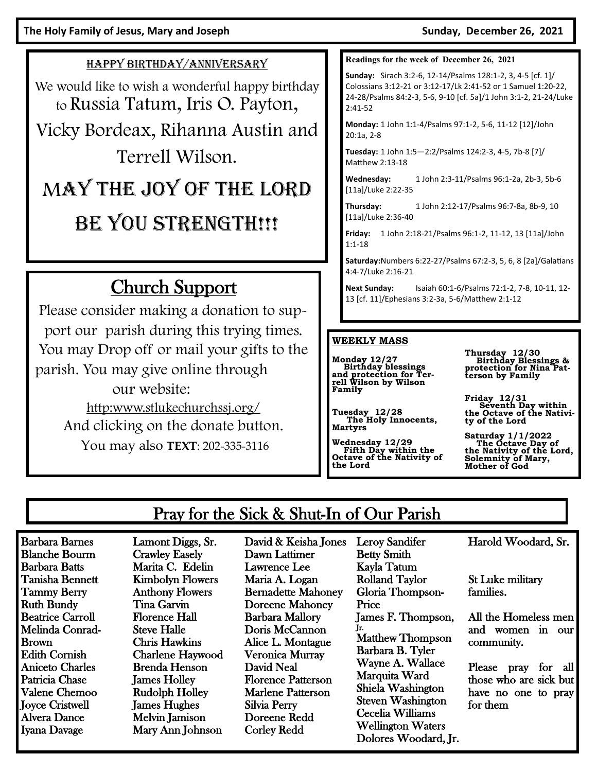#### HAPPY BIRTHDAY/ANNIVERSARY

We would like to wish a wonderful happy birthday to Russia Tatum, Iris O. Payton,

Vicky Bordeax, Rihanna Austin and Terrell Wilson.

# MAY THE JOY OF THE LORD BE YOU STRENGTH!!!

# Church Support

Please consider making a donation to support our parish during this trying times. You may Drop off or mail your gifts to the parish. You may give online through our website: [http:www.stlukechurchssj.org/](http://www.stlukechurchssj.org/) And clicking on the donate button. You may also **TEXT**: 202-335-3116

**Readings for the week of December 26, 2021**

**Sunday:** Sirach 3:2-6, 12-14/Psalms 128:1-2, 3, 4-5 [cf. 1]/ Colossians 3:12-21 or 3:12-17/Lk 2:41-52 or 1 Samuel 1:20-22, 24-28/Psalms 84:2-3, 5-6, 9-10 [cf. 5a]/1 John 3:1-2, 21-24/Luke 2:41-52

**Monday:** 1 John 1:1-4/Psalms 97:1-2, 5-6, 11-12 [12]/John 20:1a, 2-8

**Tuesday:** 1 John 1:5—2:2/Psalms 124:2-3, 4-5, 7b-8 [7]/ Matthew 2:13-18

**Wednesday:** 1 John 2:3-11/Psalms 96:1-2a, 2b-3, 5b-6 [11a]/Luke 2:22-35

**Thursday:** 1 John 2:12-17/Psalms 96:7-8a, 8b-9, 10 [11a]/Luke 2:36-40

**Friday:** 1 John 2:18-21/Psalms 96:1-2, 11-12, 13 [11a]/John 1:1-18

**Saturday:**Numbers 6:22-27/Psalms 67:2-3, 5, 6, 8 [2a]/Galatians 4:4-7/Luke 2:16-21

**Next Sunday:** Isaiah 60:1-6/Psalms 72:1-2, 7-8, 10-11, 12- 13 [cf. 11]/Ephesians 3:2-3a, 5-6/Matthew 2:1-12

#### **WEEKLY MASS**

**Monday 12/27 Birthday blessings and protection for Ter-rell Wilson by Wilson Family**

**Tuesday 12/28 The Holy Innocents, Martyrs**

**Wednesday 12/29 Fifth Day within the Octave of the Nativity of the Lord** 

Leroy Sandifer

**Thursday 12/30 Birthday Blessings & protection for Nina Patterson by Family**

**Friday 12/31 Seventh Day within the Octave of the Nativity of the Lord** 

**Saturday 1/1/2022 The Octave Day of the Nativity of the Lord, Solemnity of Mary, Mother of God**

## Pray for the Sick & Shut-In of Our Parish

Barbara Barnes Blanche Bourm Barbara Batts Tanisha Bennett Tammy Berry Ruth Bundy Beatrice Carroll Melinda Conrad-Brown Edith Cornish Aniceto Charles Patricia Chase Valene Chemoo Joyce Cristwell Alvera Dance Iyana Davage

Lamont Diggs, Sr. Crawley Easely Marita C. Edelin Kimbolyn Flowers Anthony Flowers Tina Garvin Florence Hall Steve Halle Chris Hawkins Charlene Haywood Brenda Henson James Holley Rudolph Holley James Hughes Melvin Jamison Mary Ann Johnson

David & Keisha Jones Dawn Lattimer Lawrence Lee Maria A. Logan Bernadette Mahoney Doreene Mahoney Barbara Mallory Doris McCannon Alice L. Montague Veronica Murray David Neal Florence Patterson Marlene Patterson Silvia Perry Doreene Redd Corley Redd

Betty Smith Kayla Tatum Rolland Taylor Gloria Thompson-Price James F. Thompson, Jr. Matthew Thompson Barbara B. Tyler Wayne A. Wallace Marquita Ward Shiela Washington Steven Washington Cecelia Williams Wellington Waters Dolores Woodard, Jr. Harold Woodard, Sr.

St Luke military families.

All the Homeless men and women in our community.

Please pray for all those who are sick but have no one to pray for them